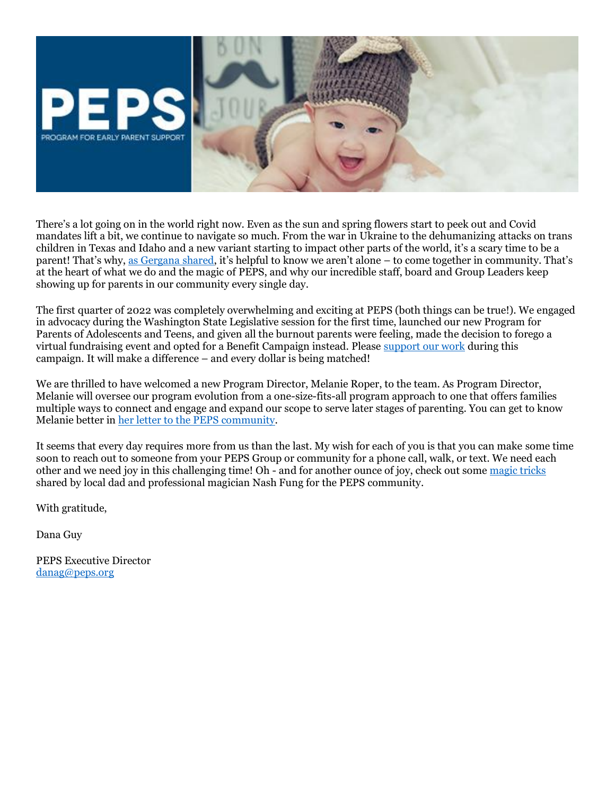

There's a lot going on in the world right now. Even as the sun and spring flowers start to peek out and Covid mandates lift a bit, we continue to navigate so much. From the war in Ukraine to the dehumanizing attacks on trans children in Texas and Idaho and a new variant starting to impact other parts of the world, it's a scary time to be a parent! That's why, [as Gergana shared](https://www.youtube.com/watch?v=XbpvUwpGR94), it's helpful to know we aren't alone – to come together in community. That's at the heart of what we do and the magic of PEPS, and why our incredible staff, board and Group Leaders keep showing up for parents in our community every single day.

The first quarter of 2022 was completely overwhelming and exciting at PEPS (both things can be true!). We engaged in advocacy during the Washington State Legislative session for the first time, launched our new Program for Parents of Adolescents and Teens, and given all the burnout parents were feeling, made the decision to forego a virtual fundraising event and opted for a Benefit Campaign instead. Please [support our work](https://secure.givelively.org/donate/program-for-early-parent-support/2022-peps-community-benefit) during this campaign. It will make a difference – and every dollar is being matched!

We are thrilled to have welcomed a new Program Director, Melanie Roper, to the team. As Program Director, Melanie will oversee our program evolution from a one-size-fits-all program approach to one that offers families multiple ways to connect and engage and expand our scope to serve later stages of parenting. You can get to know Melanie better in [her letter to the PEPS community.](https://blog.peps.org/2022/03/17/meet-our-new-program-director-melanie-roper/)

It seems that every day requires more from us than the last. My wish for each of you is that you can make some time soon to reach out to someone from your PEPS Group or community for a phone call, walk, or text. We need each other and we need joy in this challenging time! Oh - and for another ounce of joy, check out som[e magic tricks](https://www.peps.org/give/PEPS-benefit-event/meet-nash) shared by local dad and professional magician Nash Fung for the PEPS community.

With gratitude,

Dana Guy

PEPS Executive Director [danag@peps.org](mailto:danag@peps.org)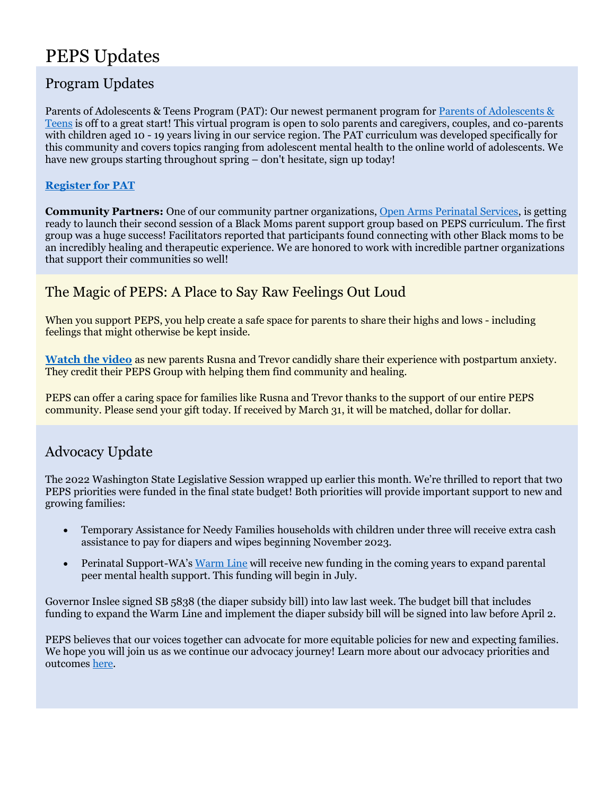# PEPS Updates

### Program Updates

Parents of Adolescents & Teens Program (PAT): Our newest permanent program for [Parents of Adolescents &](https://www.peps.org/programs/parents-of-adolescents-and-teens)  [Teens](https://www.peps.org/programs/parents-of-adolescents-and-teens) is off to a great start! This virtual program is open to solo parents and caregivers, couples, and co-parents with children aged 10 - 19 years living in our service region. The PAT curriculum was developed specifically for this community and covers topics ranging from adolescent mental health to the online world of adolescents. We have new groups starting throughout spring – don't hesitate, sign up today!

#### **[Register for PAT](https://www.peps.org/programs/parents-of-adolescents-and-teens)**

**Community Partners:** One of our community partner organizations, [Open Arms Perinatal Services,](https://www.openarmsps.org/) is getting ready to launch their second session of a Black Moms parent support group based on PEPS curriculum. The first group was a huge success! Facilitators reported that participants found connecting with other Black moms to be an incredibly healing and therapeutic experience. We are honored to work with incredible partner organizations that support their communities so well!

#### The Magic of PEPS: A Place to Say Raw Feelings Out Loud

When you support PEPS, you help create a safe space for parents to share their highs and lows - including feelings that might otherwise be kept inside.

**[Watch](https://www.youtube.com/watch?v=V9PTo5hJ3Js) the video** as new parents Rusna and Trevor candidly share their experience with postpartum anxiety. They credit their PEPS Group with helping them find community and healing.

PEPS can offer a caring space for families like Rusna and Trevor thanks to the support of our entire PEPS community. Please send your gift today. If received by March 31, it will be matched, dollar for dollar.

### Advocacy Update

The 2022 Washington State Legislative Session wrapped up earlier this month. We're thrilled to report that two PEPS priorities were funded in the final state budget! Both priorities will provide important support to new and growing families:

- Temporary Assistance for Needy Families households with children under three will receive extra cash assistance to pay for diapers and wipes beginning November 2023.
- Perinatal Support-WA's [Warm Line](https://perinatalsupport.org/warm-line/) will receive new funding in the coming years to expand parental peer mental health support. This funding will begin in July.

Governor Inslee signed SB 5838 (the diaper subsidy bill) into law last week. The budget bill that includes funding to expand the Warm Line and implement the diaper subsidy bill will be signed into law before April 2.

PEPS believes that our voices together can advocate for more equitable policies for new and expecting families. We hope you will join us as we continue our advocacy journey! Learn more about our advocacy priorities and outcomes [here.](https://www.peps.org/about/advocacy)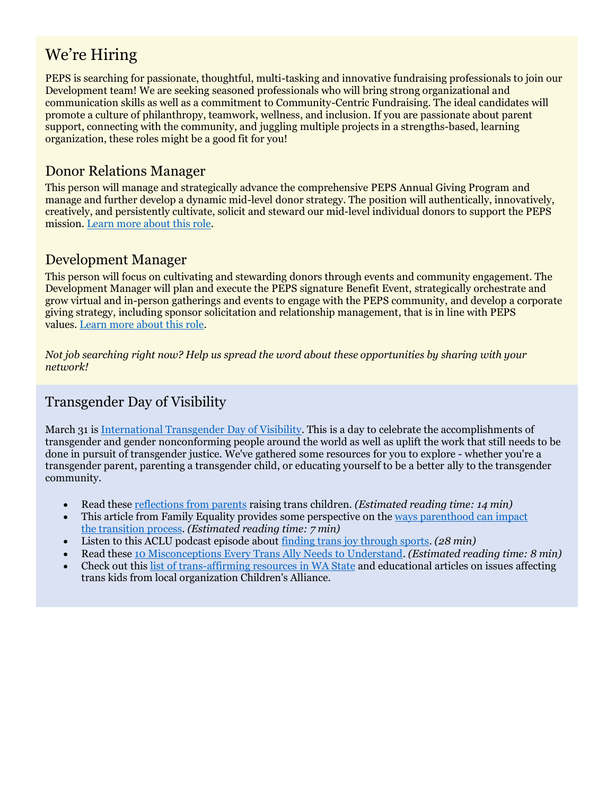## We're Hiring

PEPS is searching for passionate, thoughtful, multi-tasking and innovative fundraising professionals to join our Development team! We are seeking seasoned professionals who will bring strong organizational and communication skills as well as a commitment to Community-Centric Fundraising. The ideal candidates will promote a culture of philanthropy, teamwork, wellness, and inclusion. If you are passionate about parent support, connecting with the community, and juggling multiple projects in a strengths-based, learning organization, these roles might be a good fit for you!

#### Donor Relations Manager

This person will manage and strategically advance the comprehensive PEPS Annual Giving Program and manage and further develop a dynamic mid-level donor strategy. The position will authentically, innovatively, creatively, and persistently cultivate, solicit and steward our mid-level individual donors to support the PEPS mission[. Learn more about this role.](https://www.peps.org/about/jobs/donor-relations-manager)

#### Development Manager

This person will focus on cultivating and stewarding donors through events and community engagement. The Development Manager will plan and execute the PEPS signature Benefit Event, strategically orchestrate and grow virtual and in-person gatherings and events to engage with the PEPS community, and develop a corporate giving strategy, including sponsor solicitation and relationship management, that is in line with PEPS values. [Learn more about this role.](https://www.peps.org/about/jobs/development-manager)

*Not job searching right now? Help us spread the word about these opportunities by sharing with your network!*

### Transgender Day of Visibility

March 31 i[s International Transgender Day of Visibility.](https://www.glsen.org/activity/transgender-day-visibility) This is a day to celebrate the accomplishments of transgender and gender nonconforming people around the world as well as uplift the work that still needs to be done in pursuit of transgender justice. We've gathered some resources for you to explore - whether you're a transgender parent, parenting a transgender child, or educating yourself to be a better ally to the transgender community.

- Read these [reflections from parents](https://www.parents.com/parenting/dynamics/raising-a-transgender-child/) raising trans children. *(Estimated reading time: 14 min)*
- This article from Family Equality provides some perspective on the [ways parenthood can impact](https://www.familyequality.org/2019/10/02/going-from-daddy-to-mommy-what-will-i-tell-my-kids/)  the [transition process.](https://www.familyequality.org/2019/10/02/going-from-daddy-to-mommy-what-will-i-tell-my-kids/) *(Estimated reading time: 7 min)*
- Listen to this ACLU podcast episode about [finding trans joy through sports.](https://www.aclu.org/podcast/finding-trans-joy-through-sports) *(28 min)*
- Read these [10 Misconceptions Every Trans Ally Needs to Understand.](https://everydayfeminism.com/2014/11/misconceptions-trans-ally-understand/) *(Estimated reading time: 8 min)*
- Check out this [list of trans-affirming resources in WA State](https://childrensalliance.org/blog/childrens-alliance-supports-transgender-kids) and educational articles on issues affecting trans kids from local organization Children's Alliance.